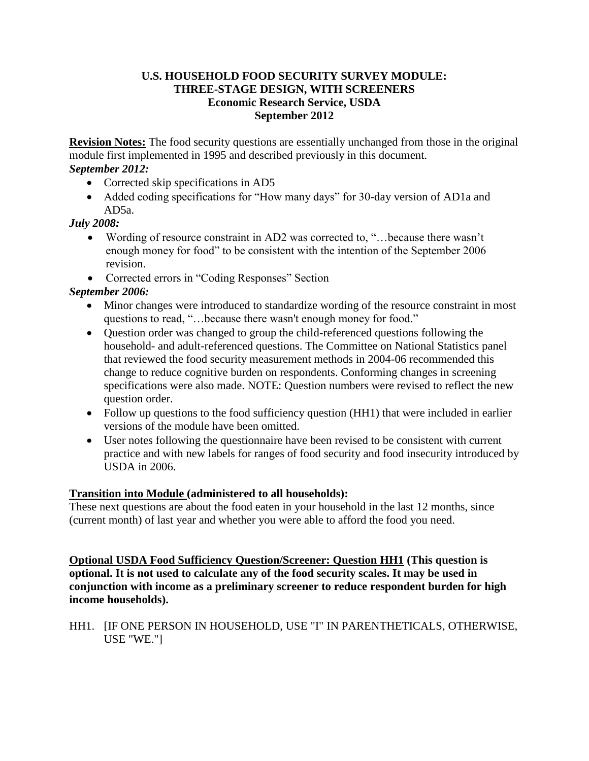### **U.S. HOUSEHOLD FOOD SECURITY SURVEY MODULE: THREE-STAGE DESIGN, WITH SCREENERS Economic Research Service, USDA September 2012**

**Revision Notes:** The food security questions are essentially unchanged from those in the original module first implemented in 1995 and described previously in this document.

# *September 2012:*

- Corrected skip specifications in AD5
- Added coding specifications for "How many days" for 30-day version of AD1a and AD5a.

# *July 2008:*

- Wording of resource constraint in AD2 was corrected to, "…because there wasn't enough money for food" to be consistent with the intention of the September 2006 revision.
- Corrected errors in "Coding Responses" Section

# *September 2006:*

- Minor changes were introduced to standardize wording of the resource constraint in most questions to read, "…because there wasn't enough money for food."
- Question order was changed to group the child-referenced questions following the household- and adult-referenced questions. The Committee on National Statistics panel that reviewed the food security measurement methods in 2004-06 recommended this change to reduce cognitive burden on respondents. Conforming changes in screening specifications were also made. NOTE: Question numbers were revised to reflect the new question order.
- Follow up questions to the food sufficiency question (HH1) that were included in earlier versions of the module have been omitted.
- User notes following the questionnaire have been revised to be consistent with current practice and with new labels for ranges of food security and food insecurity introduced by USDA in 2006.

## **Transition into Module (administered to all households):**

These next questions are about the food eaten in your household in the last 12 months, since (current month) of last year and whether you were able to afford the food you need.

**Optional USDA Food Sufficiency Question/Screener: Question HH1 (This question is optional. It is not used to calculate any of the food security scales. It may be used in conjunction with income as a preliminary screener to reduce respondent burden for high income households).**

## HH1. [IF ONE PERSON IN HOUSEHOLD, USE "I" IN PARENTHETICALS, OTHERWISE, USE "WE."]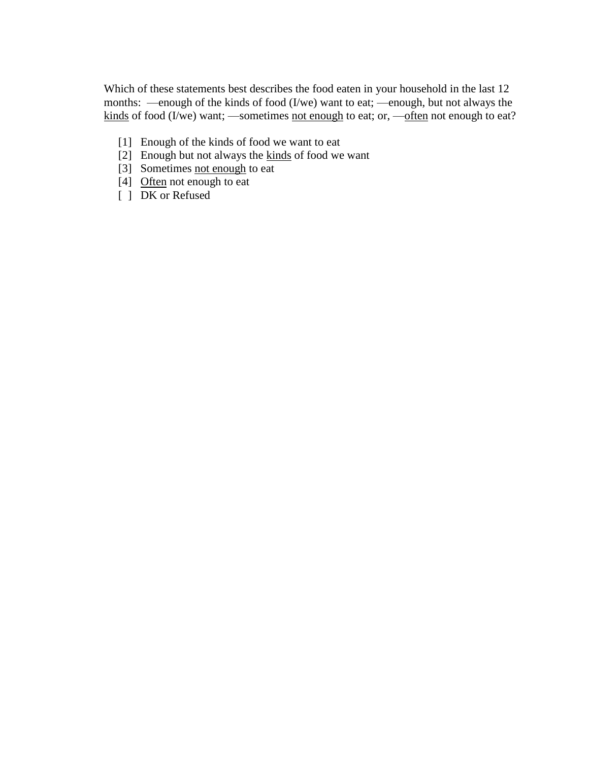Which of these statements best describes the food eaten in your household in the last 12 months: —enough of the kinds of food (I/we) want to eat; —enough, but not always the kinds of food (I/we) want; —sometimes not enough to eat; or, —often not enough to eat?

- [1] Enough of the kinds of food we want to eat
- [2] Enough but not always the kinds of food we want
- [3] Sometimes not enough to eat
- [4] Often not enough to eat
- [ ] DK or Refused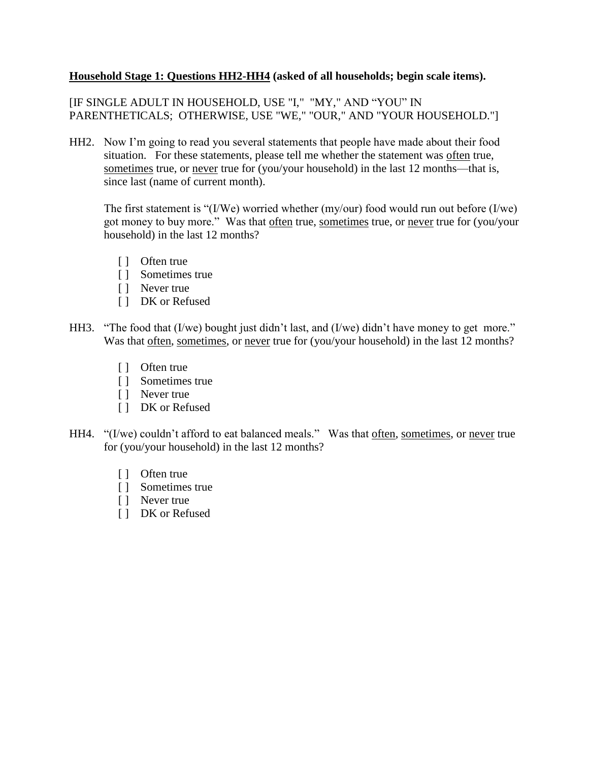### **Household Stage 1: Questions HH2-HH4 (asked of all households; begin scale items).**

[IF SINGLE ADULT IN HOUSEHOLD, USE "I," "MY," AND "YOU" IN PARENTHETICALS; OTHERWISE, USE "WE," "OUR," AND "YOUR HOUSEHOLD."]

HH2. Now I'm going to read you several statements that people have made about their food situation. For these statements, please tell me whether the statement was often true, sometimes true, or never true for (you/your household) in the last 12 months—that is, since last (name of current month).

The first statement is "(I/We) worried whether (my/our) food would run out before (I/we) got money to buy more." Was that often true, sometimes true, or never true for (you/your household) in the last 12 months?

- [ ] Often true
- [ ] Sometimes true
- [ ] Never true
- [ ] DK or Refused
- HH3. "The food that (I/we) bought just didn't last, and (I/we) didn't have money to get more." Was that often, sometimes, or never true for (you/your household) in the last 12 months?
	- [ ] Often true
	- [ ] Sometimes true
	- [ ] Never true
	- [ ] DK or Refused
- HH4. "(I/we) couldn't afford to eat balanced meals." Was that often, sometimes, or never true for (you/your household) in the last 12 months?
	- [ ] Often true
	- [ ] Sometimes true
	- [ ] Never true
	- [ ] DK or Refused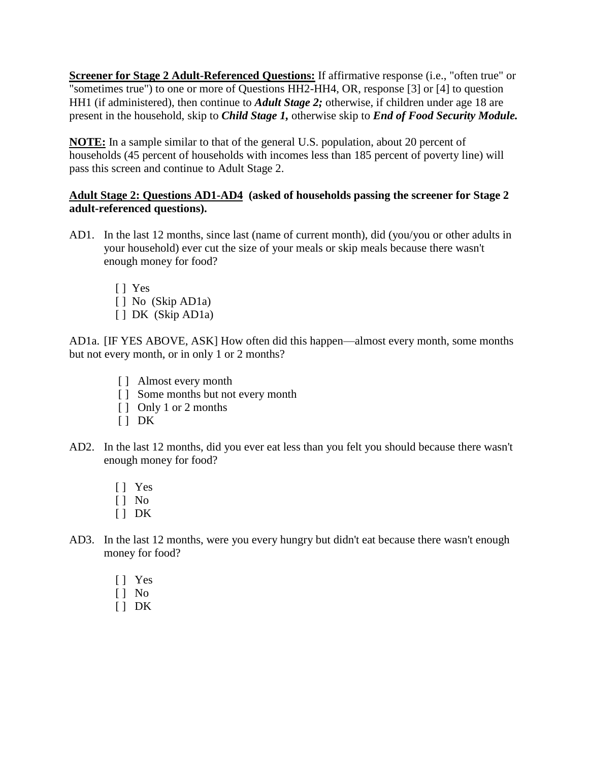**Screener for Stage 2 Adult-Referenced Questions:** If affirmative response (i.e., "often true" or "sometimes true") to one or more of Questions HH2-HH4, OR, response [3] or [4] to question HH1 (if administered), then continue to *Adult Stage 2;* otherwise, if children under age 18 are present in the household, skip to *Child Stage 1,* otherwise skip to *End of Food Security Module.*

**NOTE:** In a sample similar to that of the general U.S. population, about 20 percent of households (45 percent of households with incomes less than 185 percent of poverty line) will pass this screen and continue to Adult Stage 2.

## **Adult Stage 2: Questions AD1-AD4 (asked of households passing the screener for Stage 2 adult-referenced questions).**

- AD1. In the last 12 months, since last (name of current month), did (you/you or other adults in your household) ever cut the size of your meals or skip meals because there wasn't enough money for food?
	- [ ] Yes
	- [] No (Skip AD1a)
	- [ ] DK (Skip AD1a)

AD1a. [IF YES ABOVE, ASK] How often did this happen—almost every month, some months but not every month, or in only 1 or 2 months?

- [ ] Almost every month
- [ ] Some months but not every month
- [ ] Only 1 or 2 months
- $[ ]$  DK
- AD2. In the last 12 months, did you ever eat less than you felt you should because there wasn't enough money for food?
	- [ ] Yes
	- $\lceil \cdot \rceil$  No
	- $[ ]$  DK
- AD3. In the last 12 months, were you every hungry but didn't eat because there wasn't enough money for food?
	- [ ] Yes
	- [ ] No
	- $\begin{bmatrix} 1 & \mathrm{DK} \end{bmatrix}$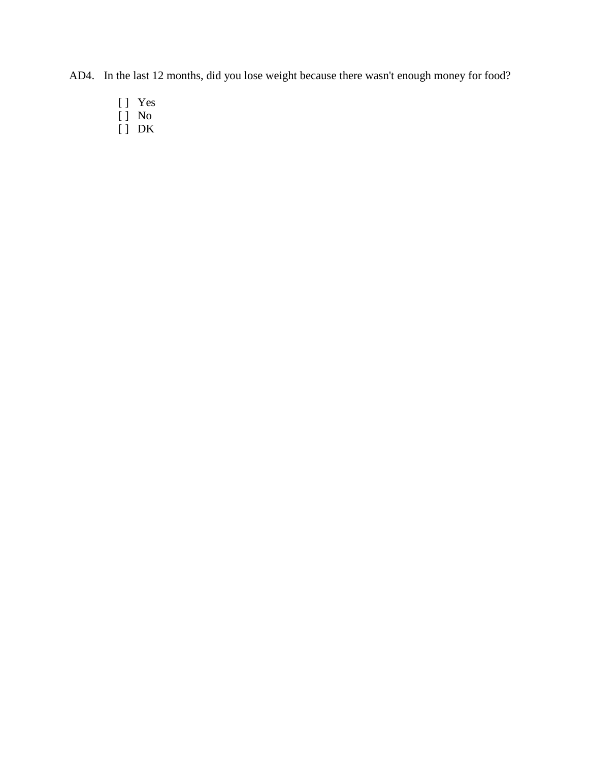AD4. In the last 12 months, did you lose weight because there wasn't enough money for food?

- [ ] Yes
- [ ] No
- [ ] DK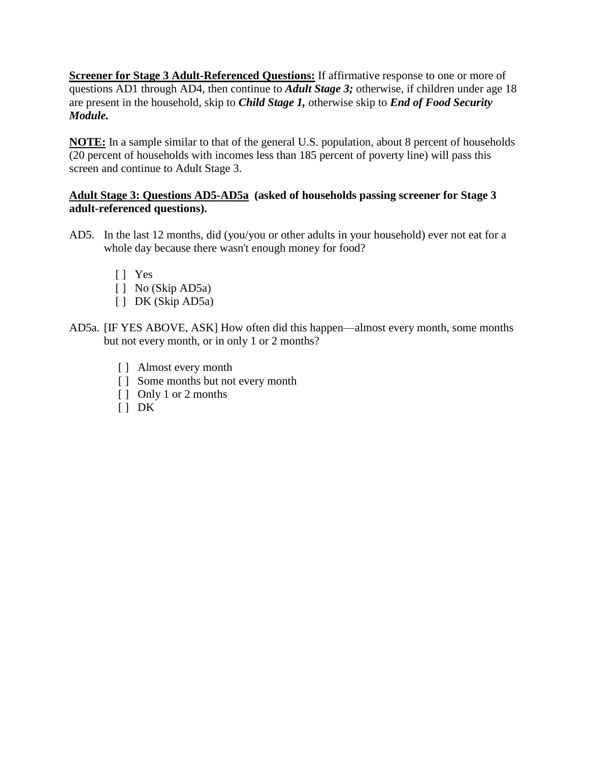**Screener for Stage 3 Adult-Referenced Questions:** If affirmative response to one or more of questions AD1 through AD4, then continue to *Adult Stage 3;* otherwise, if children under age 18 are present in the household, skip to *Child Stage 1,* otherwise skip to *End of Food Security Module.*

**NOTE:** In a sample similar to that of the general U.S. population, about 8 percent of households (20 percent of households with incomes less than 185 percent of poverty line) will pass this screen and continue to Adult Stage 3.

## **Adult Stage 3: Questions AD5-AD5a (asked of households passing screener for Stage 3 adult-referenced questions).**

- AD5. In the last 12 months, did (you/you or other adults in your household) ever not eat for a whole day because there wasn't enough money for food?
	- [ ] Yes
	- [ ] No (Skip AD5a)
	- [] DK (Skip AD5a)
- AD5a. [IF YES ABOVE, ASK] How often did this happen—almost every month, some months but not every month, or in only 1 or 2 months?
	- [ ] Almost every month
	- [ ] Some months but not every month
	- [ ] Only 1 or 2 months
	- $[ ] DK$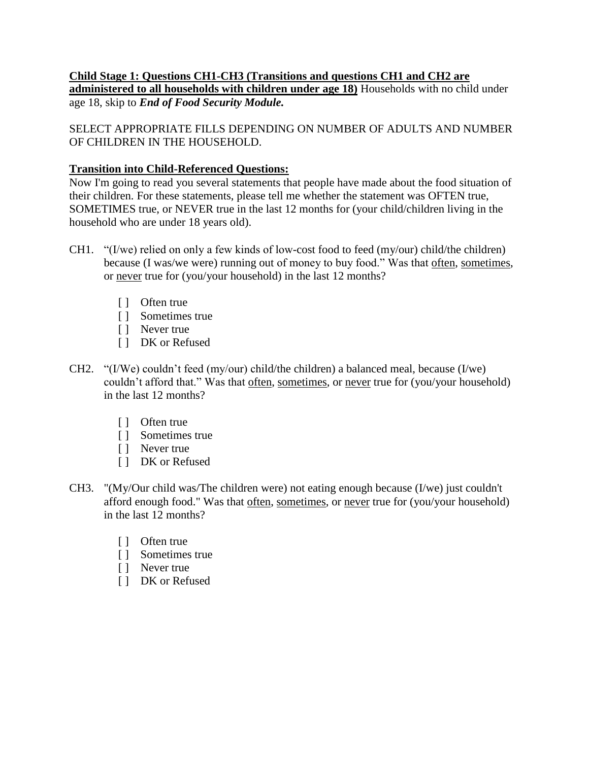### **Child Stage 1: Questions CH1-CH3 (Transitions and questions CH1 and CH2 are administered to all households with children under age 18)** Households with no child under age 18, skip to *End of Food Security Module.*

SELECT APPROPRIATE FILLS DEPENDING ON NUMBER OF ADULTS AND NUMBER OF CHILDREN IN THE HOUSEHOLD.

## **Transition into Child-Referenced Questions:**

Now I'm going to read you several statements that people have made about the food situation of their children. For these statements, please tell me whether the statement was OFTEN true, SOMETIMES true, or NEVER true in the last 12 months for (your child/children living in the household who are under 18 years old).

- CH1. "(I/we) relied on only a few kinds of low-cost food to feed (my/our) child/the children) because (I was/we were) running out of money to buy food." Was that often, sometimes, or never true for (you/your household) in the last 12 months?
	- [ ] Often true
	- [ ] Sometimes true
	- [ ] Never true
	- [ ] DK or Refused
- CH2. "(I/We) couldn't feed (my/our) child/the children) a balanced meal, because (I/we) couldn't afford that." Was that often, sometimes, or never true for (you/your household) in the last 12 months?
	- [ ] Often true
	- [ ] Sometimes true
	- [ ] Never true
	- [ ] DK or Refused
- CH3. "(My/Our child was/The children were) not eating enough because (I/we) just couldn't afford enough food." Was that often, sometimes, or never true for (you/your household) in the last 12 months?
	- [ ] Often true
	- [ ] Sometimes true
	- [ ] Never true
	- [ ] DK or Refused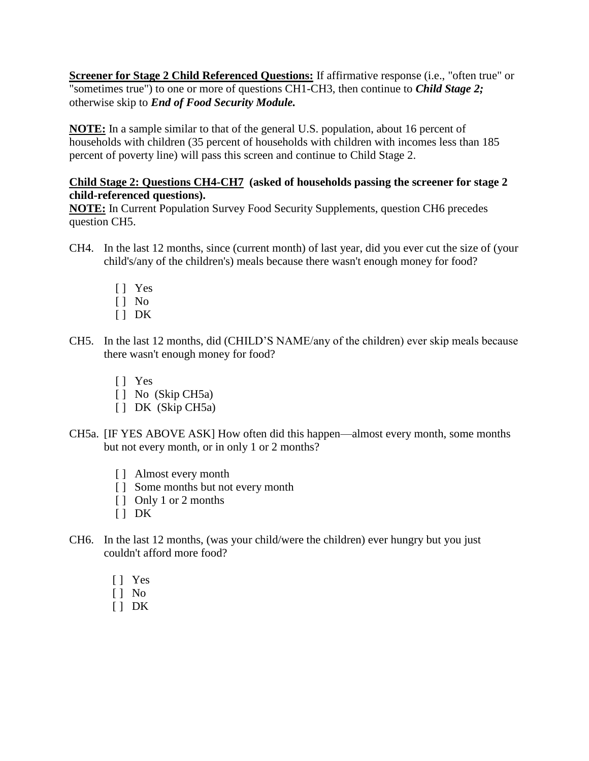**Screener for Stage 2 Child Referenced Questions:** If affirmative response (i.e., "often true" or "sometimes true") to one or more of questions CH1-CH3, then continue to *Child Stage 2;* otherwise skip to *End of Food Security Module.*

**NOTE:** In a sample similar to that of the general U.S. population, about 16 percent of households with children (35 percent of households with children with incomes less than 185 percent of poverty line) will pass this screen and continue to Child Stage 2.

### **Child Stage 2: Questions CH4-CH7 (asked of households passing the screener for stage 2 child-referenced questions).**

**NOTE:** In Current Population Survey Food Security Supplements, question CH6 precedes question CH5.

- CH4. In the last 12 months, since (current month) of last year, did you ever cut the size of (your child's/any of the children's) meals because there wasn't enough money for food?
	- [ ] Yes
	- $[ ]$  No
	- $[$   $]$  DK
- CH5. In the last 12 months, did (CHILD'S NAME/any of the children) ever skip meals because there wasn't enough money for food?
	- [ ] Yes
	- [ ] No (Skip CH5a)
	- [ ] DK (Skip CH5a)
- CH5a. [IF YES ABOVE ASK] How often did this happen—almost every month, some months but not every month, or in only 1 or 2 months?
	- [ ] Almost every month
	- [ ] Some months but not every month
	- [ ] Only 1 or 2 months
	- $[ ]$  DK
- CH6. In the last 12 months, (was your child/were the children) ever hungry but you just couldn't afford more food?
	- [ ] Yes
	- [ ] No
	- $\lceil$  DK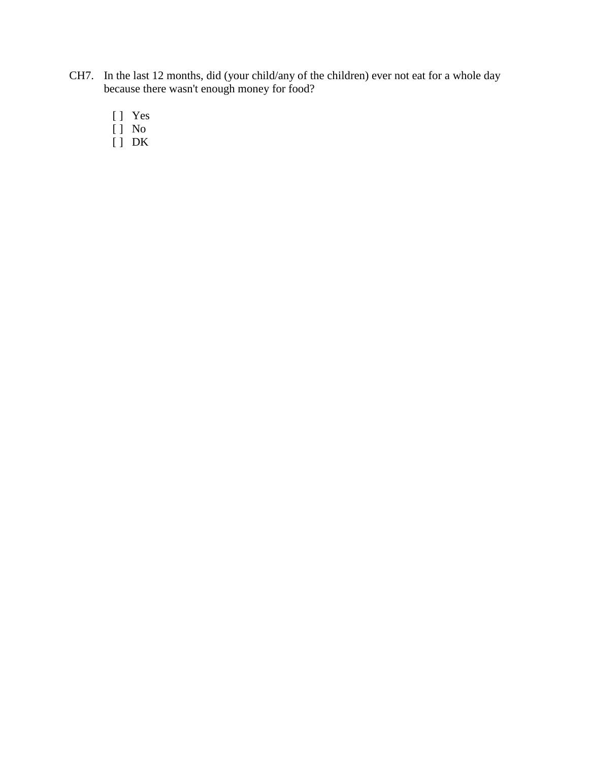- CH7. In the last 12 months, did (your child/any of the children) ever not eat for a whole day because there wasn't enough money for food?
	- [ ] Yes
	- [ ] No
	- [ ] DK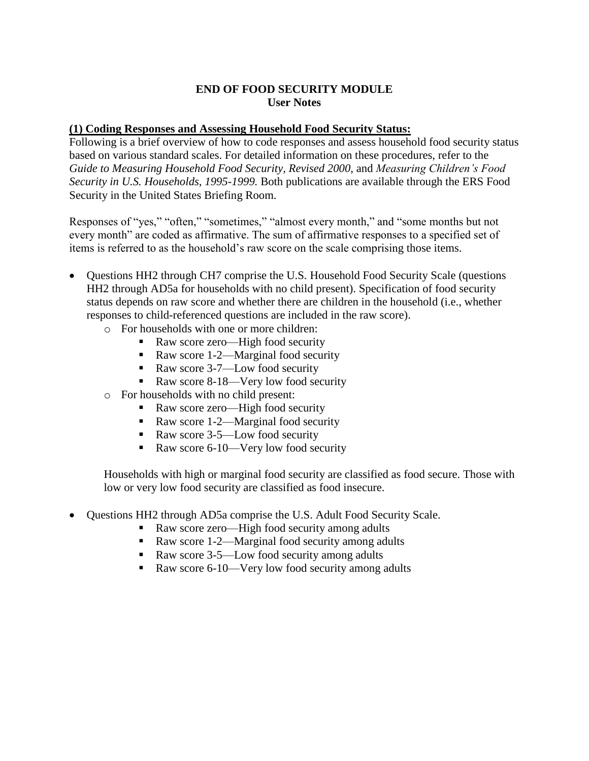#### **END OF FOOD SECURITY MODULE User Notes**

#### **(1) Coding Responses and Assessing Household Food Security Status:**

Following is a brief overview of how to code responses and assess household food security status based on various standard scales. For detailed information on these procedures, refer to the *Guide to Measuring Household Food Security, Revised 2000,* and *Measuring Children's Food Security in U.S. Households, 1995-1999.* Both publications are available through the ERS Food Security in the United States Briefing Room.

Responses of "yes," "often," "sometimes," "almost every month," and "some months but not every month" are coded as affirmative. The sum of affirmative responses to a specified set of items is referred to as the household's raw score on the scale comprising those items.

- Ouestions HH2 through CH7 comprise the U.S. Household Food Security Scale (questions HH2 through AD5a for households with no child present). Specification of food security status depends on raw score and whether there are children in the household (i.e., whether responses to child-referenced questions are included in the raw score).
	- o For households with one or more children:
		- Raw score zero—High food security
			- Raw score 1-2—Marginal food security
			- Raw score 3-7—Low food security
			- Raw score 8-18—Very low food security
	- o For households with no child present:
		- Raw score zero—High food security
		- Raw score 1-2—Marginal food security
		- Raw score 3-5—Low food security
		- Raw score 6-10—Very low food security

Households with high or marginal food security are classified as food secure. Those with low or very low food security are classified as food insecure.

- Questions HH2 through AD5a comprise the U.S. Adult Food Security Scale.
	- Raw score zero—High food security among adults
	- Raw score 1-2—Marginal food security among adults
	- Raw score 3-5—Low food security among adults
	- Raw score 6-10—Very low food security among adults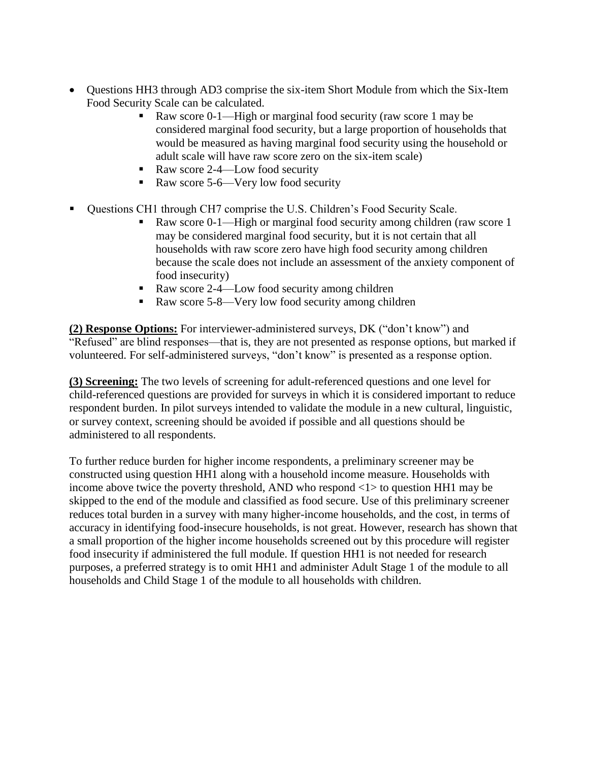- Questions HH3 through AD3 comprise the six-item Short Module from which the Six-Item Food Security Scale can be calculated.
	- Raw score 0-1—High or marginal food security (raw score 1 may be considered marginal food security, but a large proportion of households that would be measured as having marginal food security using the household or adult scale will have raw score zero on the six-item scale)
	- Raw score 2-4—Low food security
	- Raw score 5-6—Very low food security
- Questions CH1 through CH7 comprise the U.S. Children's Food Security Scale.
	- Raw score 0-1—High or marginal food security among children (raw score 1 may be considered marginal food security, but it is not certain that all households with raw score zero have high food security among children because the scale does not include an assessment of the anxiety component of food insecurity)
	- Raw score 2-4—Low food security among children
	- Raw score 5-8—Very low food security among children

**(2) Response Options:** For interviewer-administered surveys, DK ("don't know") and "Refused" are blind responses—that is, they are not presented as response options, but marked if volunteered. For self-administered surveys, "don't know" is presented as a response option.

**(3) Screening:** The two levels of screening for adult-referenced questions and one level for child-referenced questions are provided for surveys in which it is considered important to reduce respondent burden. In pilot surveys intended to validate the module in a new cultural, linguistic, or survey context, screening should be avoided if possible and all questions should be administered to all respondents.

To further reduce burden for higher income respondents, a preliminary screener may be constructed using question HH1 along with a household income measure. Households with income above twice the poverty threshold, AND who respond  $\langle 1 \rangle$  to question HH1 may be skipped to the end of the module and classified as food secure. Use of this preliminary screener reduces total burden in a survey with many higher-income households, and the cost, in terms of accuracy in identifying food-insecure households, is not great. However, research has shown that a small proportion of the higher income households screened out by this procedure will register food insecurity if administered the full module. If question HH1 is not needed for research purposes, a preferred strategy is to omit HH1 and administer Adult Stage 1 of the module to all households and Child Stage 1 of the module to all households with children.